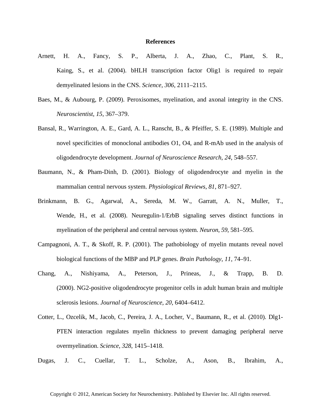## **References**

- Arnett, H. A., Fancy, S. P., Alberta, J. A., Zhao, C., Plant, S. R., Kaing, S., et al. (2004). bHLH transcription factor Olig1 is required to repair demyelinated lesions in the CNS. *Science*, *306*, 2111–2115.
- Baes, M., & Aubourg, P. (2009). Peroxisomes, myelination, and axonal integrity in the CNS. *Neuroscientist*, *15*, 367–379.
- Bansal, R., Warrington, A. E., Gard, A. L., Ranscht, B., & Pfeiffer, S. E. (1989). Multiple and novel specificities of monoclonal antibodies O1, O4, and R-mAb used in the analysis of oligodendrocyte development. *Journal of Neuroscience Research*, *24*, 548–557.
- Baumann, N., & Pham-Dinh, D. (2001). Biology of oligodendrocyte and myelin in the mammalian central nervous system. *Physiological Reviews*, *81*, 871–927.
- Brinkmann, B. G., Agarwal, A., Sereda, M. W., Garratt, A. N., Muller, T., Wende, H., et al. (2008). Neuregulin-1/ErbB signaling serves distinct functions in myelination of the peripheral and central nervous system. *Neuron*, *59*, 581–595.
- Campagnoni, A. T., & Skoff, R. P. (2001). The pathobiology of myelin mutants reveal novel biological functions of the MBP and PLP genes. *Brain Pathology*, *11*, 74–91.
- Chang, A., Nishiyama, A., Peterson, J., Prineas, J., & Trapp, B. D. (2000). NG2-positive oligodendrocyte progenitor cells in adult human brain and multiple sclerosis lesions. *Journal of Neuroscience*, *20*, 6404–6412.
- Cotter, L., Ozcelik, M., Jacob, C., Pereira, J. A., Locher, V., Baumann, R., et al. (2010). Dlg1- PTEN interaction regulates myelin thickness to prevent damaging peripheral nerve overmyelination. *Science*, *328*, 1415–1418.
- Dugas, J. C., Cuellar, T. L., Scholze, A., Ason, B., Ibrahim, A.,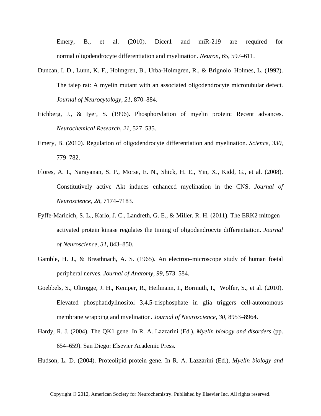Emery, B., et al. (2010). Dicer1 and miR-219 are required for normal oligodendrocyte differentiation and myelination. *Neuron*, *65*, 597–611.

- Duncan, I. D., Lunn, K. F., Holmgren, B., Urba-Holmgren, R., & Brignolo–Holmes, L. (1992). The taiep rat: A myelin mutant with an associated oligodendrocyte microtubular defect. *Journal of Neurocytology*, *21*, 870–884.
- Eichberg, J., & Iyer, S. (1996). Phosphorylation of myelin protein: Recent advances. *Neurochemical Research*, *21*, 527–535.
- Emery, B. (2010). Regulation of oligodendrocyte differentiation and myelination. *Science*, *330*, 779–782.
- Flores, A. I., Narayanan, S. P., Morse, E. N., Shick, H. E., Yin, X., Kidd, G., et al. (2008). Constitutively active Akt induces enhanced myelination in the CNS. *Journal of Neuroscience*, *28*, 7174–7183.
- Fyffe-Maricich, S. L., Karlo, J. C., Landreth, G. E., & Miller, R. H. (2011). The ERK2 mitogen– activated protein kinase regulates the timing of oligodendrocyte differentiation. *Journal of Neuroscience*, *31*, 843–850.
- Gamble, H. J., & Breathnach, A. S. (1965). An electron–microscope study of human foetal peripheral nerves. *Journal of Anatomy*, *99*, 573–584.
- Goebbels, S., Oltrogge, J. H., Kemper, R., Heilmann, I., Bormuth, I., Wolfer, S., et al. (2010). Elevated phosphatidylinositol 3,4,5-trisphosphate in glia triggers cell-autonomous membrane wrapping and myelination. *Journal of Neuroscience*, *30*, 8953–8964.
- Hardy, R. J. (2004). The QK1 gene. In R. A. Lazzarini (Ed.), *Myelin biology and disorders* (pp. 654–659). San Diego: Elsevier Academic Press.

Hudson, L. D. (2004). Proteolipid protein gene. In R. A. Lazzarini (Ed.), *Myelin biology and*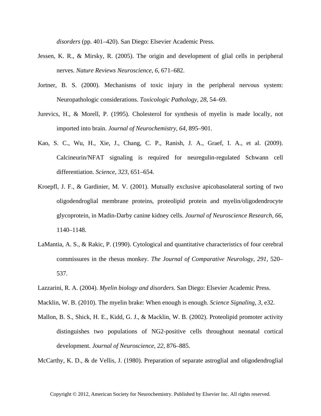*disorders* (pp. 401–420). San Diego: Elsevier Academic Press.

- Jessen, K. R., & Mirsky, R. (2005). The origin and development of glial cells in peripheral nerves. *Nature Reviews Neuroscience*, *6*, 671–682.
- Jortner, B. S. (2000). Mechanisms of toxic injury in the peripheral nervous system: Neuropathologic considerations. *Toxicologic Pathology*, *28*, 54–69.
- Jurevics, H., & Morell, P. (1995). Cholesterol for synthesis of myelin is made locally, not imported into brain. *Journal of Neurochemistry*, *64*, 895–901.
- Kao, S. C., Wu, H., Xie, J., Chang, C. P., Ranish, J. A., Graef, I. A., et al. (2009). Calcineurin/NFAT signaling is required for neuregulin-regulated Schwann cell differentiation. *Science*, *323*, 651–654.
- Kroepfl, J. F., & Gardinier, M. V. (2001). Mutually exclusive apicobasolateral sorting of two oligodendroglial membrane proteins, proteolipid protein and myelin*/*oligodendrocyte glycoprotein, in Madin-Darby canine kidney cells. *Journal of Neuroscience Research*, *66*, 1140–1148.
- LaMantia, A. S., & Rakic, P. (1990). Cytological and quantitative characteristics of four cerebral commissures in the rhesus monkey. *The Journal of Comparative Neurology*, *291*, 520– 537.
- Lazzarini, R. A. (2004). *Myelin biology and disorders*. San Diego: Elsevier Academic Press.
- Macklin, W. B. (2010). The myelin brake: When enough is enough. *Science Signaling*, *3*, e32.
- Mallon, B. S., Shick, H. E., Kidd, G. J., & Macklin, W. B. (2002). Proteolipid promoter activity distinguishes two populations of NG2-positive cells throughout neonatal cortical development. *Journal of Neuroscience*, *22*, 876–885.

McCarthy, K. D., & de Vellis, J. (1980). Preparation of separate astroglial and oligodendroglial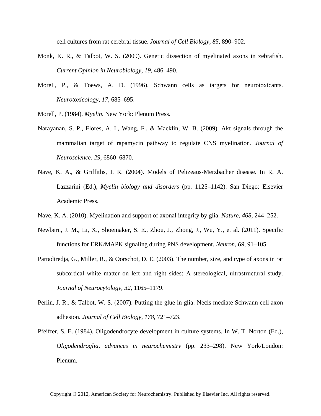cell cultures from rat cerebral tissue. *Journal of Cell Biology*, *85*, 890–902.

- Monk, K. R., & Talbot, W. S. (2009). Genetic dissection of myelinated axons in zebrafish. *Current Opinion in Neurobiology*, *19*, 486–490.
- Morell, P., & Toews, A. D. (1996). Schwann cells as targets for neurotoxicants. *Neurotoxicology*, *17*, 685–695.
- Morell, P. (1984). *Myelin*. New York: Plenum Press.
- Narayanan, S. P., Flores, A. I., Wang, F., & Macklin, W. B. (2009). Akt signals through the mammalian target of rapamycin pathway to regulate CNS myelination. *Journal of Neuroscience*, *29*, 6860–6870.
- Nave, K. A., & Griffiths, I. R. (2004). Models of Pelizeaus-Merzbacher disease. In R. A. Lazzarini (Ed.), *Myelin biology and disorders* (pp. 1125–1142). San Diego: Elsevier Academic Press.
- Nave, K. A. (2010). Myelination and support of axonal integrity by glia. *Nature*, *468*, 244–252.
- Newbern, J. M., Li, X., Shoemaker, S. E., Zhou, J., Zhong, J., Wu, Y., et al. (2011). Specific functions for ERK*/*MAPK signaling during PNS development. *Neuron*, *69*, 91–105.
- Partadiredja, G., Miller, R., & Oorschot, D. E. (2003). The number, size, and type of axons in rat subcortical white matter on left and right sides: A stereological, ultrastructural study. *Journal of Neurocytology*, *32*, 1165–1179.
- Perlin, J. R., & Talbot, W. S. (2007). Putting the glue in glia: Necls mediate Schwann cell axon adhesion. *Journal of Cell Biology*, *178*, 721–723.
- Pfeiffer, S. E. (1984). Oligodendrocyte development in culture systems. In W. T. Norton (Ed.), *Oligodendroglia, advances in neurochemistry* (pp. 233–298). New York/London: Plenum.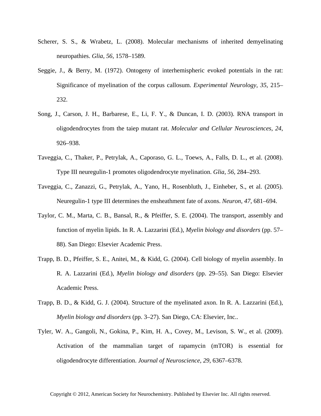- Scherer, S. S., & Wrabetz, L. (2008). Molecular mechanisms of inherited demyelinating neuropathies. *Glia*, *56*, 1578–1589.
- Seggie, J., & Berry, M. (1972). Ontogeny of interhemispheric evoked potentials in the rat: Significance of myelination of the corpus callosum. *Experimental Neurology*, *35*, 215– 232.
- Song, J., Carson, J. H., Barbarese, E., Li, F. Y., & Duncan, I. D. (2003). RNA transport in oligodendrocytes from the taiep mutant rat. *Molecular and Cellular Neurosciences*, *24*, 926–938.
- Taveggia, C., Thaker, P., Petrylak, A., Caporaso, G. L., Toews, A., Falls, D. L., et al. (2008). Type III neuregulin-1 promotes oligodendrocyte myelination. *Glia*, *56*, 284–293.
- Taveggia, C., Zanazzi, G., Petrylak, A., Yano, H., Rosenbluth, J., Einheber, S., et al. (2005). Neuregulin-1 type III determines the ensheathment fate of axons. *Neuron*, *47*, 681–694.
- Taylor, C. M., Marta, C. B., Bansal, R., & Pfeiffer, S. E. (2004). The transport, assembly and function of myelin lipids. In R. A. Lazzarini (Ed.), *Myelin biology and disorders* (pp. 57– 88). San Diego: Elsevier Academic Press.
- Trapp, B. D., Pfeiffer, S. E., Anitei, M., & Kidd, G. (2004). Cell biology of myelin assembly. In R. A. Lazzarini (Ed.), *Myelin biology and disorders* (pp. 29–55). San Diego: Elsevier Academic Press.
- Trapp, B. D., & Kidd, G. J. (2004). Structure of the myelinated axon. In R. A. Lazzarini (Ed.), *Myelin biology and disorders* (pp. 3–27). San Diego, CA: Elsevier, Inc..
- Tyler, W. A., Gangoli, N., Gokina, P., Kim, H. A., Covey, M., Levison, S. W., et al. (2009). Activation of the mammalian target of rapamycin (mTOR) is essential for oligodendrocyte differentiation. *Journal of Neuroscience*, *29*, 6367–6378.